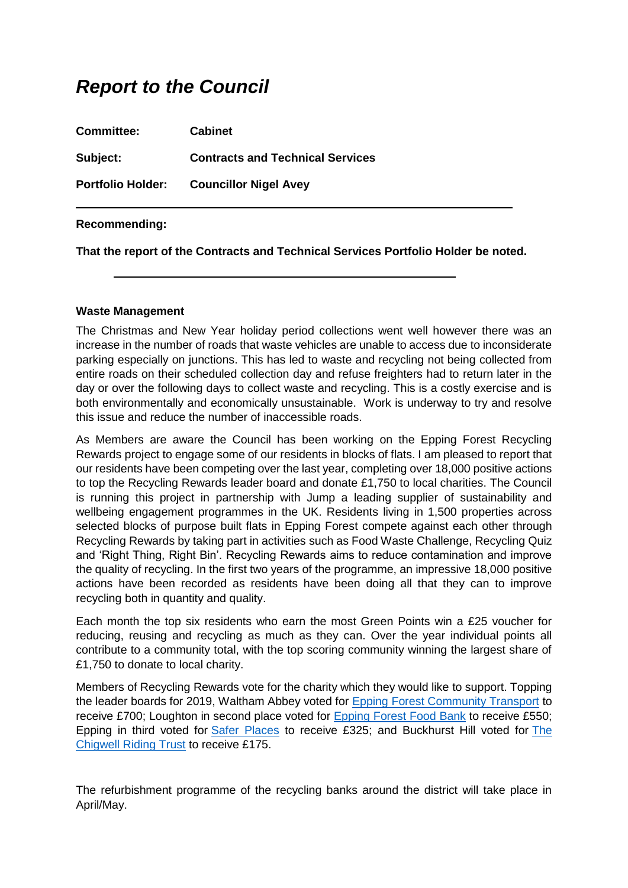# *Report to the Council*

| <b>Committee:</b>        | <b>Cabinet</b>                          |
|--------------------------|-----------------------------------------|
| Subject:                 | <b>Contracts and Technical Services</b> |
| <b>Portfolio Holder:</b> | <b>Councillor Nigel Avey</b>            |

#### **Recommending:**

**That the report of the Contracts and Technical Services Portfolio Holder be noted.**

#### **Waste Management**

The Christmas and New Year holiday period collections went well however there was an increase in the number of roads that waste vehicles are unable to access due to inconsiderate parking especially on junctions. This has led to waste and recycling not being collected from entire roads on their scheduled collection day and refuse freighters had to return later in the day or over the following days to collect waste and recycling. This is a costly exercise and is both environmentally and economically unsustainable. Work is underway to try and resolve this issue and reduce the number of inaccessible roads.

As Members are aware the Council has been working on the Epping Forest Recycling Rewards project to engage some of our residents in blocks of flats. I am pleased to report that our residents have been competing over the last year, completing over 18,000 positive actions to top the Recycling Rewards leader board and donate £1,750 to local charities. The Council is running this project in partnership with Jump a leading supplier of sustainability and wellbeing engagement programmes in the UK. Residents living in 1,500 properties across selected blocks of purpose built flats in Epping Forest compete against each other through Recycling Rewards by taking part in activities such as Food Waste Challenge, Recycling Quiz and 'Right Thing, Right Bin'. Recycling Rewards aims to reduce contamination and improve the quality of recycling. In the first two years of the programme, an impressive 18,000 positive actions have been recorded as residents have been doing all that they can to improve recycling both in quantity and quality.

Each month the top six residents who earn the most Green Points win a £25 voucher for reducing, reusing and recycling as much as they can. Over the year individual points all contribute to a community total, with the top scoring community winning the largest share of £1,750 to donate to local charity.

Members of Recycling Rewards vote for the charity which they would like to support. Topping the leader boards for 2019, Waltham Abbey voted for [Epping Forest Community Transport](http://www.efcommunitytransport.co.uk/) to receive £700; Loughton in second place voted for [Epping Forest Food Bank](http://eppingforest.foodbank.org.uk/) to receive £550; Epping in third voted for Safer Places to receive £325; and Buckhurst Hill voted for [The](http://www.chigride.org.uk/index.html)  [Chigwell Riding Trust](http://www.chigride.org.uk/index.html) to receive £175.

The refurbishment programme of the recycling banks around the district will take place in April/May.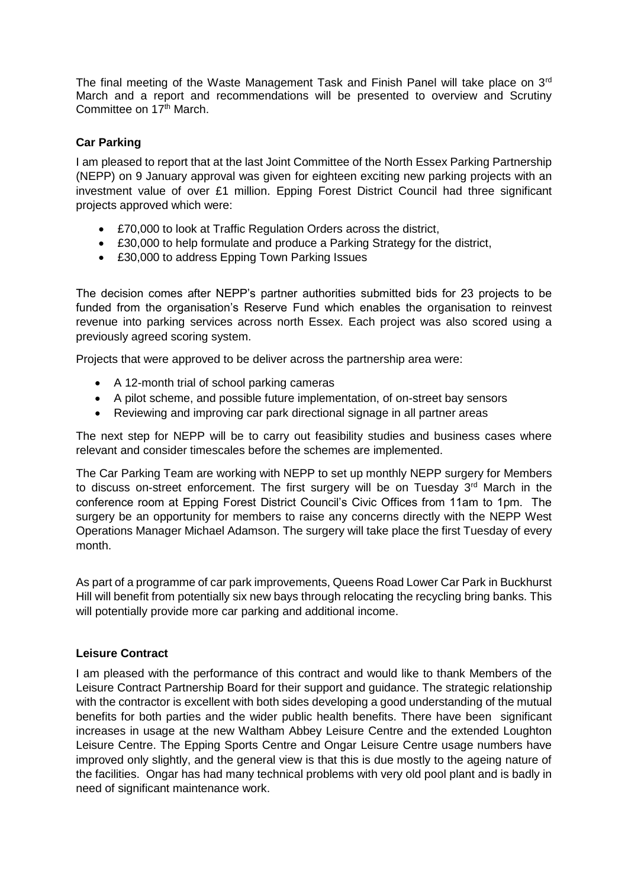The final meeting of the Waste Management Task and Finish Panel will take place on  $3<sup>rd</sup>$ March and a report and recommendations will be presented to overview and Scrutiny Committee on 17<sup>th</sup> March.

## **Car Parking**

I am pleased to report that at the last Joint Committee of the North Essex Parking Partnership (NEPP) on 9 January approval was given for eighteen exciting new parking projects with an investment value of over £1 million. Epping Forest District Council had three significant projects approved which were:

- £70,000 to look at Traffic Regulation Orders across the district,
- £30,000 to help formulate and produce a Parking Strategy for the district,
- £30,000 to address Epping Town Parking Issues

The decision comes after NEPP's partner authorities submitted bids for 23 projects to be funded from the organisation's Reserve Fund which enables the organisation to reinvest revenue into parking services across north Essex. Each project was also scored using a previously agreed scoring system.

Projects that were approved to be deliver across the partnership area were:

- A 12-month trial of school parking cameras
- A pilot scheme, and possible future implementation, of on-street bay sensors
- Reviewing and improving car park directional signage in all partner areas

The next step for NEPP will be to carry out feasibility studies and business cases where relevant and consider timescales before the schemes are implemented.

The Car Parking Team are working with NEPP to set up monthly NEPP surgery for Members to discuss on-street enforcement. The first surgery will be on Tuesday 3<sup>rd</sup> March in the conference room at Epping Forest District Council's Civic Offices from 11am to 1pm. The surgery be an opportunity for members to raise any concerns directly with the NEPP West Operations Manager Michael Adamson. The surgery will take place the first Tuesday of every month.

As part of a programme of car park improvements, Queens Road Lower Car Park in Buckhurst Hill will benefit from potentially six new bays through relocating the recycling bring banks. This will potentially provide more car parking and additional income.

#### **Leisure Contract**

I am pleased with the performance of this contract and would like to thank Members of the Leisure Contract Partnership Board for their support and guidance. The strategic relationship with the contractor is excellent with both sides developing a good understanding of the mutual benefits for both parties and the wider public health benefits. There have been significant increases in usage at the new Waltham Abbey Leisure Centre and the extended Loughton Leisure Centre. The Epping Sports Centre and Ongar Leisure Centre usage numbers have improved only slightly, and the general view is that this is due mostly to the ageing nature of the facilities. Ongar has had many technical problems with very old pool plant and is badly in need of significant maintenance work.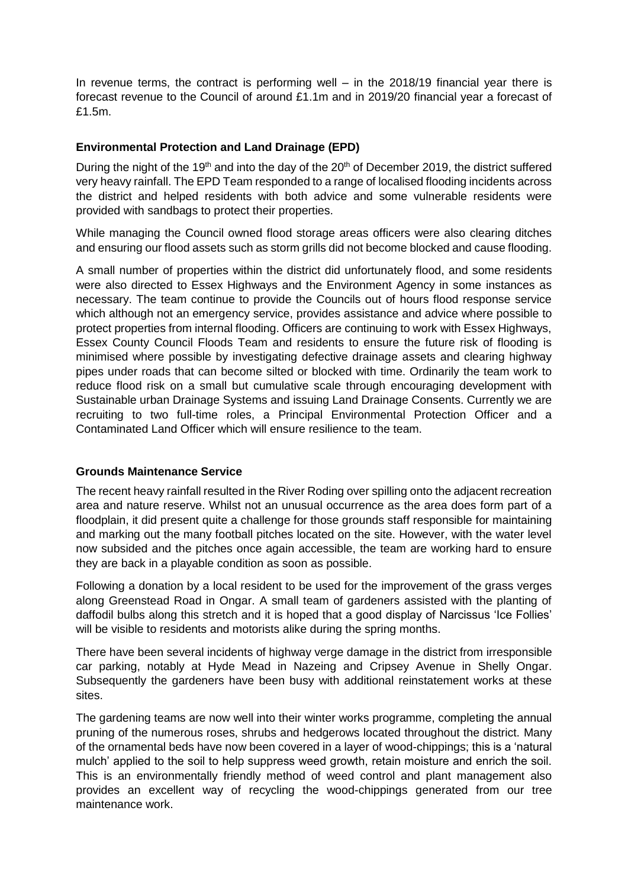In revenue terms, the contract is performing well – in the 2018/19 financial year there is forecast revenue to the Council of around £1.1m and in 2019/20 financial year a forecast of £1.5m.

#### **Environmental Protection and Land Drainage (EPD)**

During the night of the 19<sup>th</sup> and into the day of the  $20<sup>th</sup>$  of December 2019, the district suffered very heavy rainfall. The EPD Team responded to a range of localised flooding incidents across the district and helped residents with both advice and some vulnerable residents were provided with sandbags to protect their properties.

While managing the Council owned flood storage areas officers were also clearing ditches and ensuring our flood assets such as storm grills did not become blocked and cause flooding.

A small number of properties within the district did unfortunately flood, and some residents were also directed to Essex Highways and the Environment Agency in some instances as necessary. The team continue to provide the Councils out of hours flood response service which although not an emergency service, provides assistance and advice where possible to protect properties from internal flooding. Officers are continuing to work with Essex Highways, Essex County Council Floods Team and residents to ensure the future risk of flooding is minimised where possible by investigating defective drainage assets and clearing highway pipes under roads that can become silted or blocked with time. Ordinarily the team work to reduce flood risk on a small but cumulative scale through encouraging development with Sustainable urban Drainage Systems and issuing Land Drainage Consents. Currently we are recruiting to two full-time roles, a Principal Environmental Protection Officer and a Contaminated Land Officer which will ensure resilience to the team.

#### **Grounds Maintenance Service**

The recent heavy rainfall resulted in the River Roding over spilling onto the adjacent recreation area and nature reserve. Whilst not an unusual occurrence as the area does form part of a floodplain, it did present quite a challenge for those grounds staff responsible for maintaining and marking out the many football pitches located on the site. However, with the water level now subsided and the pitches once again accessible, the team are working hard to ensure they are back in a playable condition as soon as possible.

Following a donation by a local resident to be used for the improvement of the grass verges along Greenstead Road in Ongar. A small team of gardeners assisted with the planting of daffodil bulbs along this stretch and it is hoped that a good display of Narcissus 'Ice Follies' will be visible to residents and motorists alike during the spring months.

There have been several incidents of highway verge damage in the district from irresponsible car parking, notably at Hyde Mead in Nazeing and Cripsey Avenue in Shelly Ongar. Subsequently the gardeners have been busy with additional reinstatement works at these sites.

The gardening teams are now well into their winter works programme, completing the annual pruning of the numerous roses, shrubs and hedgerows located throughout the district. Many of the ornamental beds have now been covered in a layer of wood-chippings; this is a 'natural mulch' applied to the soil to help suppress weed growth, retain moisture and enrich the soil. This is an environmentally friendly method of weed control and plant management also provides an excellent way of recycling the wood-chippings generated from our tree maintenance work.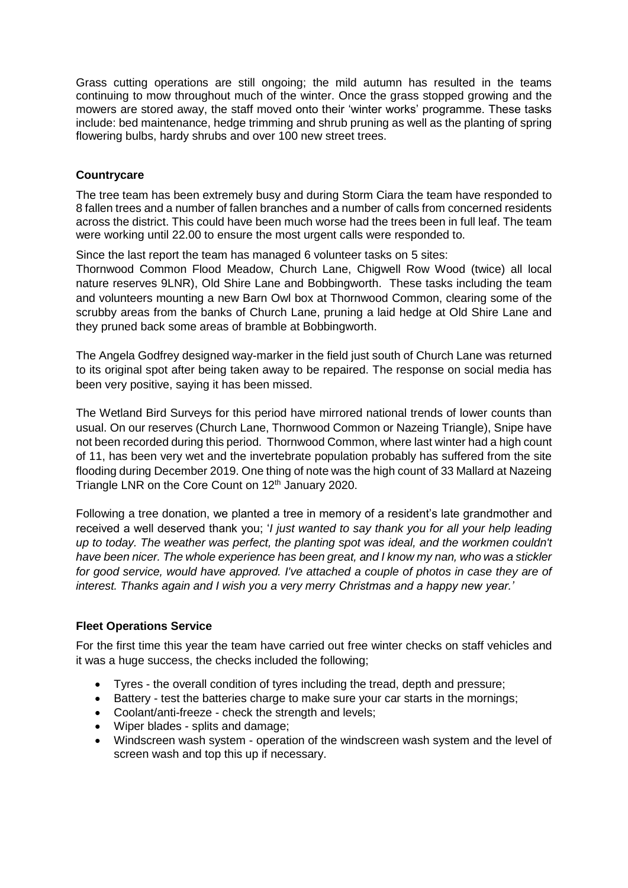Grass cutting operations are still ongoing; the mild autumn has resulted in the teams continuing to mow throughout much of the winter. Once the grass stopped growing and the mowers are stored away, the staff moved onto their 'winter works' programme. These tasks include: bed maintenance, hedge trimming and shrub pruning as well as the planting of spring flowering bulbs, hardy shrubs and over 100 new street trees.

### **Countrycare**

The tree team has been extremely busy and during Storm Ciara the team have responded to 8 fallen trees and a number of fallen branches and a number of calls from concerned residents across the district. This could have been much worse had the trees been in full leaf. The team were working until 22.00 to ensure the most urgent calls were responded to.

Since the last report the team has managed 6 volunteer tasks on 5 sites:

Thornwood Common Flood Meadow, Church Lane, Chigwell Row Wood (twice) all local nature reserves 9LNR), Old Shire Lane and Bobbingworth. These tasks including the team and volunteers mounting a new Barn Owl box at Thornwood Common, clearing some of the scrubby areas from the banks of Church Lane, pruning a laid hedge at Old Shire Lane and they pruned back some areas of bramble at Bobbingworth.

The Angela Godfrey designed way-marker in the field just south of Church Lane was returned to its original spot after being taken away to be repaired. The response on social media has been very positive, saying it has been missed.

The Wetland Bird Surveys for this period have mirrored national trends of lower counts than usual. On our reserves (Church Lane, Thornwood Common or Nazeing Triangle), Snipe have not been recorded during this period. Thornwood Common, where last winter had a high count of 11, has been very wet and the invertebrate population probably has suffered from the site flooding during December 2019. One thing of note was the high count of 33 Mallard at Nazeing Triangle LNR on the Core Count on 12<sup>th</sup> January 2020.

Following a tree donation, we planted a tree in memory of a resident's late grandmother and received a well deserved thank you; '*I just wanted to say thank you for all your help leading up to today. The weather was perfect, the planting spot was ideal, and the workmen couldn't have been nicer. The whole experience has been great, and I know my nan, who was a stickler for good service, would have approved. I've attached a couple of photos in case they are of interest. Thanks again and I wish you a very merry Christmas and a happy new year.'*

#### **Fleet Operations Service**

For the first time this year the team have carried out free winter checks on staff vehicles and it was a huge success, the checks included the following;

- Tyres the overall condition of tyres including the tread, depth and pressure;
- Battery test the batteries charge to make sure your car starts in the mornings;
- Coolant/anti-freeze check the strength and levels;
- Wiper blades splits and damage;
- Windscreen wash system operation of the windscreen wash system and the level of screen wash and top this up if necessary.